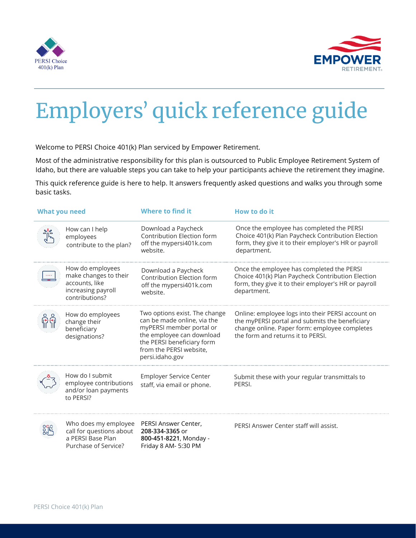



## Employers' quick reference guide

Welcome to PERSI Choice 401(k) Plan serviced by Empower Retirement.

Most of the administrative responsibility for this plan is outsourced to Public Employee Retirement System of Idaho, but there are valuable steps you can take to help your participants achieve the retirement they imagine.

This quick reference guide is here to help. It answers frequently asked questions and walks you through some basic tasks.

| <b>What you need</b> |                                                                                                     | <b>Where to find it</b>                                                                                                                                                                           | How to do it                                                                                                                                                                              |
|----------------------|-----------------------------------------------------------------------------------------------------|---------------------------------------------------------------------------------------------------------------------------------------------------------------------------------------------------|-------------------------------------------------------------------------------------------------------------------------------------------------------------------------------------------|
|                      | How can I help<br>employees<br>contribute to the plan?                                              | Download a Paycheck<br>Contribution Election form<br>off the mypersi401k.com<br>website.                                                                                                          | Once the employee has completed the PERSI<br>Choice 401(k) Plan Paycheck Contribution Election<br>form, they give it to their employer's HR or payroll<br>department.                     |
|                      | How do employees<br>make changes to their<br>accounts, like<br>increasing payroll<br>contributions? | Download a Paycheck<br>Contribution Election form<br>off the mypersi401k.com<br>website.                                                                                                          | Once the employee has completed the PERSI<br>Choice 401(k) Plan Paycheck Contribution Election<br>form, they give it to their employer's HR or payroll<br>department.                     |
|                      | How do employees<br>change their<br>beneficiary<br>designations?                                    | Two options exist. The change<br>can be made online, via the<br>myPERSI member portal or<br>the employee can download<br>the PERSI beneficiary form<br>from the PERSI website,<br>persi.idaho.gov | Online: employee logs into their PERSI account on<br>the myPERSI portal and submits the beneficiary<br>change online. Paper form: employee completes<br>the form and returns it to PERSI. |
|                      | How do I submit<br>employee contributions<br>and/or loan payments<br>to PERSI?                      | <b>Employer Service Center</b><br>staff, via email or phone.                                                                                                                                      | Submit these with your regular transmittals to<br>PERSI.                                                                                                                                  |
| 品                    | Who does my employee<br>call for questions about<br>a PERSI Base Plan<br>Purchase of Service?       | PERSI Answer Center,<br>208-334-3365 or<br>800-451-8221, Monday -<br>Friday 8 AM- 5:30 PM                                                                                                         | PERSI Answer Center staff will assist.                                                                                                                                                    |